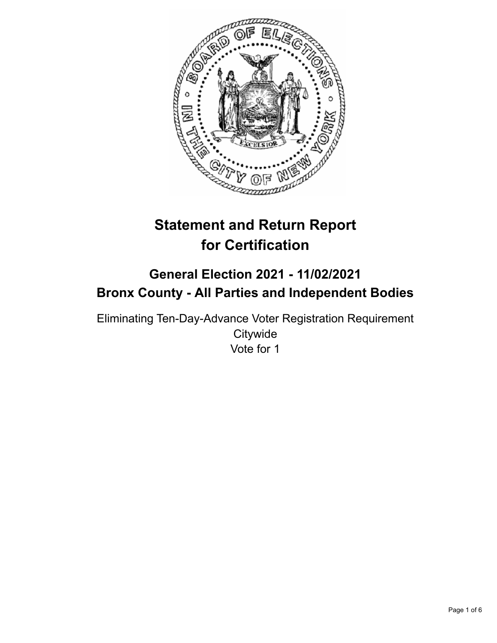

# **Statement and Return Report for Certification**

# **General Election 2021 - 11/02/2021 Bronx County - All Parties and Independent Bodies**

Eliminating Ten-Day-Advance Voter Registration Requirement **Citywide** Vote for 1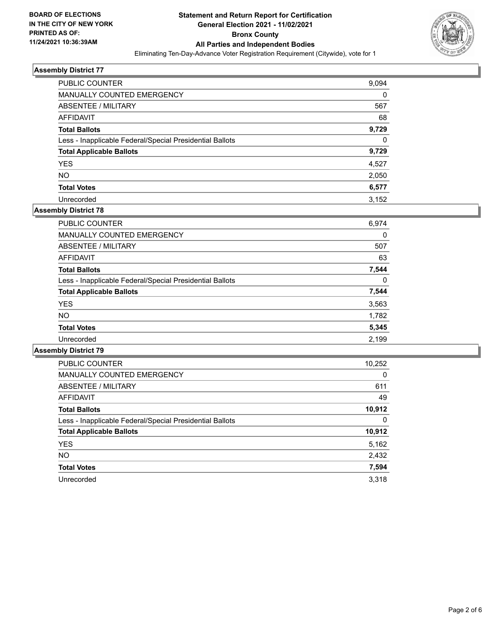

| <b>PUBLIC COUNTER</b>                                    | 9,094    |
|----------------------------------------------------------|----------|
| MANUALLY COUNTED EMERGENCY                               | 0        |
| ABSENTEE / MILITARY                                      | 567      |
| AFFIDAVIT                                                | 68       |
| <b>Total Ballots</b>                                     | 9,729    |
| Less - Inapplicable Federal/Special Presidential Ballots | $\Omega$ |
| <b>Total Applicable Ballots</b>                          | 9,729    |
| <b>YES</b>                                               | 4,527    |
| <b>NO</b>                                                | 2,050    |
| <b>Total Votes</b>                                       | 6,577    |
| Unrecorded                                               | 3.152    |

# **Assembly District 78**

| 6,974 |
|-------|
| 0     |
| 507   |
| 63    |
| 7,544 |
| 0     |
| 7,544 |
| 3,563 |
| 1,782 |
| 5,345 |
| 2,199 |
|       |

| <b>PUBLIC COUNTER</b>                                    | 10,252   |
|----------------------------------------------------------|----------|
| <b>MANUALLY COUNTED EMERGENCY</b>                        | $\Omega$ |
| ABSENTEE / MILITARY                                      | 611      |
| <b>AFFIDAVIT</b>                                         | 49       |
| <b>Total Ballots</b>                                     | 10,912   |
| Less - Inapplicable Federal/Special Presidential Ballots | 0        |
| <b>Total Applicable Ballots</b>                          | 10,912   |
| <b>YES</b>                                               | 5,162    |
| NO.                                                      | 2,432    |
| <b>Total Votes</b>                                       | 7,594    |
| Unrecorded                                               | 3.318    |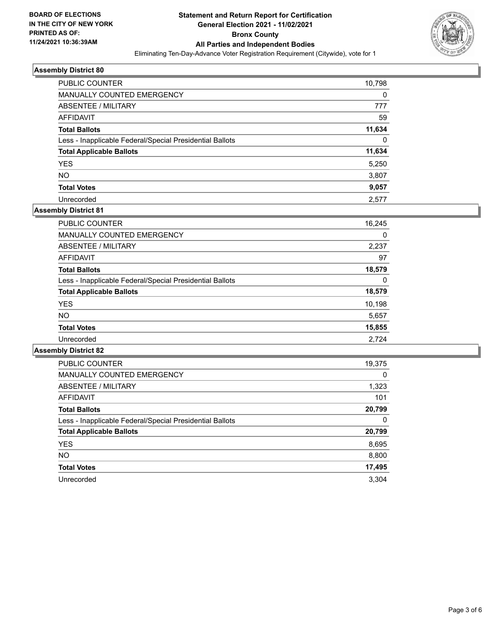

| PUBLIC COUNTER                                           | 10,798   |
|----------------------------------------------------------|----------|
| MANUALLY COUNTED EMERGENCY                               | 0        |
| ABSENTEE / MILITARY                                      | 777      |
| AFFIDAVIT                                                | 59       |
| <b>Total Ballots</b>                                     | 11,634   |
| Less - Inapplicable Federal/Special Presidential Ballots | $\Omega$ |
| <b>Total Applicable Ballots</b>                          | 11,634   |
| <b>YES</b>                                               | 5,250    |
| NO.                                                      | 3,807    |
| <b>Total Votes</b>                                       | 9,057    |
| Unrecorded                                               | 2.577    |

# **Assembly District 81**

| <b>PUBLIC COUNTER</b>                                    | 16,245 |
|----------------------------------------------------------|--------|
| <b>MANUALLY COUNTED EMERGENCY</b>                        | 0      |
| ABSENTEE / MILITARY                                      | 2,237  |
| AFFIDAVIT                                                | 97     |
| <b>Total Ballots</b>                                     | 18,579 |
| Less - Inapplicable Federal/Special Presidential Ballots | 0      |
| <b>Total Applicable Ballots</b>                          | 18,579 |
| <b>YES</b>                                               | 10,198 |
| <b>NO</b>                                                | 5,657  |
| <b>Total Votes</b>                                       | 15,855 |
| Unrecorded                                               | 2.724  |

| <b>PUBLIC COUNTER</b>                                    | 19,375   |
|----------------------------------------------------------|----------|
| <b>MANUALLY COUNTED EMERGENCY</b>                        | $\Omega$ |
| ABSENTEE / MILITARY                                      | 1,323    |
| <b>AFFIDAVIT</b>                                         | 101      |
| <b>Total Ballots</b>                                     | 20,799   |
| Less - Inapplicable Federal/Special Presidential Ballots | 0        |
| <b>Total Applicable Ballots</b>                          | 20,799   |
| <b>YES</b>                                               | 8,695    |
| NO.                                                      | 8,800    |
| <b>Total Votes</b>                                       | 17,495   |
| Unrecorded                                               | 3.304    |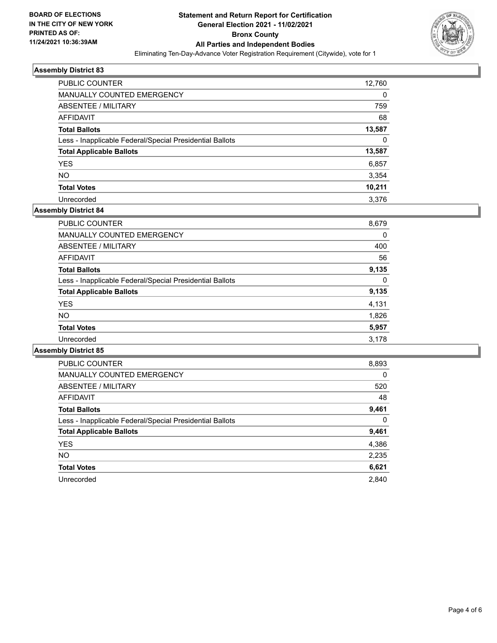

| <b>PUBLIC COUNTER</b>                                    | 12,760 |
|----------------------------------------------------------|--------|
| <b>MANUALLY COUNTED EMERGENCY</b>                        | 0      |
| ABSENTEE / MILITARY                                      | 759    |
| AFFIDAVIT                                                | 68     |
| <b>Total Ballots</b>                                     | 13,587 |
| Less - Inapplicable Federal/Special Presidential Ballots | 0      |
| <b>Total Applicable Ballots</b>                          | 13,587 |
| <b>YES</b>                                               | 6,857  |
| <b>NO</b>                                                | 3,354  |
| <b>Total Votes</b>                                       | 10,211 |
| Unrecorded                                               | 3.376  |

# **Assembly District 84**

| <b>PUBLIC COUNTER</b>                                    | 8,893    |
|----------------------------------------------------------|----------|
| <b>MANUALLY COUNTED EMERGENCY</b>                        | $\Omega$ |
| ABSENTEE / MILITARY                                      | 520      |
| <b>AFFIDAVIT</b>                                         | 48       |
| <b>Total Ballots</b>                                     | 9,461    |
| Less - Inapplicable Federal/Special Presidential Ballots | 0        |
| <b>Total Applicable Ballots</b>                          | 9,461    |
| <b>YES</b>                                               | 4,386    |
| <b>NO</b>                                                | 2,235    |
| <b>Total Votes</b>                                       | 6,621    |
| Unrecorded                                               | 2.840    |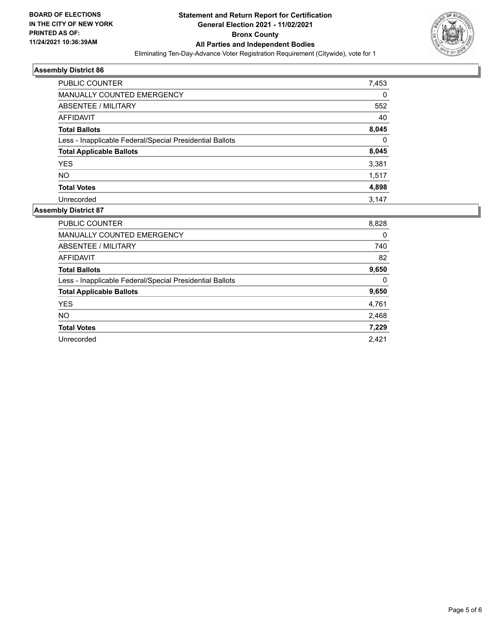

| <b>PUBLIC COUNTER</b>                                    | 7,453    |
|----------------------------------------------------------|----------|
| <b>MANUALLY COUNTED EMERGENCY</b>                        | 0        |
| ABSENTEE / MILITARY                                      | 552      |
| AFFIDAVIT                                                | 40       |
| <b>Total Ballots</b>                                     | 8,045    |
| Less - Inapplicable Federal/Special Presidential Ballots | $\Omega$ |
| <b>Total Applicable Ballots</b>                          | 8,045    |
| <b>YES</b>                                               | 3,381    |
| <b>NO</b>                                                | 1,517    |
| <b>Total Votes</b>                                       | 4,898    |
| Unrecorded                                               | 3.147    |

| PUBLIC COUNTER                                           | 8,828 |
|----------------------------------------------------------|-------|
| <b>MANUALLY COUNTED EMERGENCY</b>                        | 0     |
| ABSENTEE / MILITARY                                      | 740   |
| <b>AFFIDAVIT</b>                                         | 82    |
| <b>Total Ballots</b>                                     | 9,650 |
| Less - Inapplicable Federal/Special Presidential Ballots | 0     |
| <b>Total Applicable Ballots</b>                          | 9,650 |
| <b>YES</b>                                               | 4,761 |
| <b>NO</b>                                                | 2,468 |
| <b>Total Votes</b>                                       | 7,229 |
| Unrecorded                                               | 2.421 |